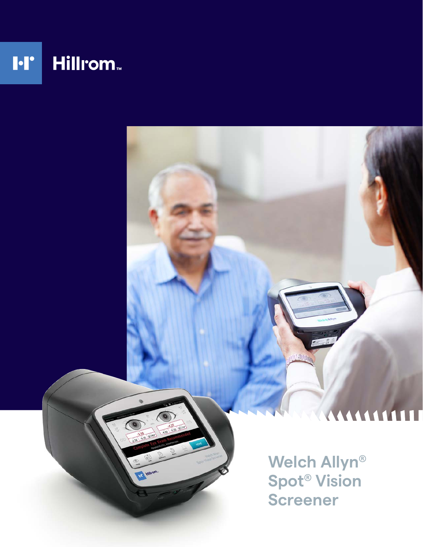

**Welch Allyn® Spot® Vision Screener**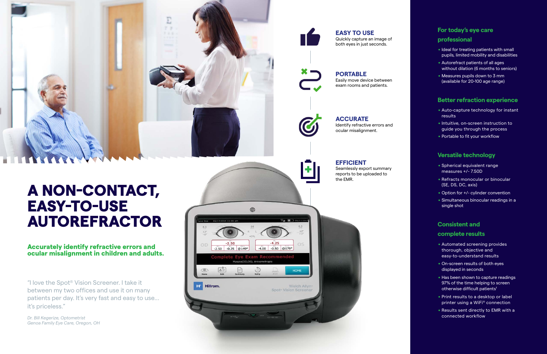# A NON-CONTACT, EASY-TO-USE AUTOREFRACTOR

## **For today's eye care**

- **professional**<br>• Ideal for treating patients with small pupils, limited mobility and disabilities
- . Autorefract patients of all ages without dilation (6 months to seniors)
- . Measures pupils down to 3 mm (available for 20-100 age range)

# **Better refraction experience**<br>• Auto-capture technology for instant

- results
- .Intuitive, on-screen instruction to guide you through the process
- . Portable to fit your workflow

# **Versatile technology**<br>• Spherical equivalent range

- **complete results**<br>• Automated screening provides thorough, objective and easy-to-understand results
- . On-screen results of both eyes displayed in seconds
- . Has been shown to capture readings 97% of the time helping to screen otherwise difficult patients<sup>1</sup>
- . Print results to a desktop or label printer using a WiFi ® connection
- . Results sent directly to EMR with a connected workflow
- measures +/- 7.50D
- . Refracts monocular or binocular (SE, DS, DC, axis)
- . Option for +/- cylinder convention . Simultaneous binocular readings in a
- single shot

## **Consistent and**

## **EFFICIENT**

Seamlessly export summary reports to be uploaded to



**ACCURATE** Identify refractive errors and ocular misalignment.

### **PORTABLE** Easily move device between exam rooms and patients.





**EASY TO USE** Quickly capture an image of both eyes in just seconds.

## Accurately identify refractive errors and ocular misalignment in children and adults.

"I love the Spot ® Vision Screener. I take it between my two offices and use it on many patients per day. It's very fast and easy to use... it's priceless."

*Dr. Bill Kegerize, Optometrist Genoa Family Eye Care, Oregon, OH*